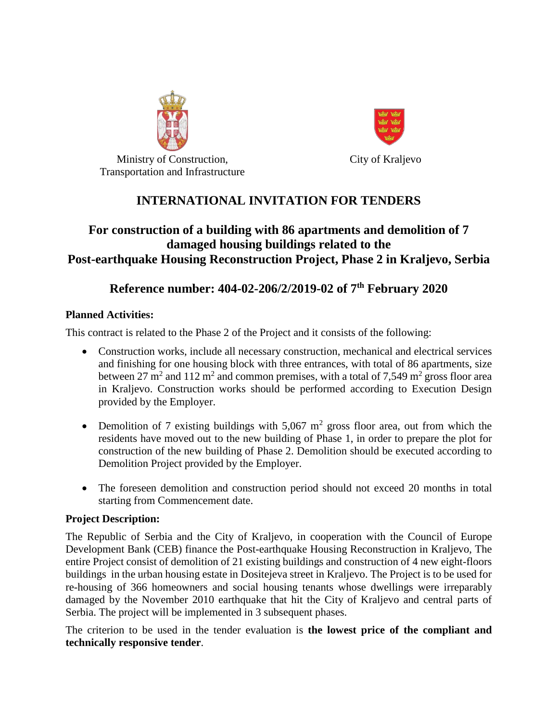

City of Kraljevo

Ministry of Construction, Transportation and Infrastructure

# **INTERNATIONAL INVITATION FOR TENDERS**

## **For construction of a building with 86 apartments and demolition of 7 damaged housing buildings related to the Post-earthquake Housing Reconstruction Project, Phase 2 in Kraljevo, Serbia**

## **Reference number: 404-02-206/2/2019-02 of 7th February 2020**

### **Planned Activities:**

This contract is related to the Phase 2 of the Project and it consists of the following:

- Construction works, include all necessary construction, mechanical and electrical services and finishing for one housing block with three entrances, with total of 86 apartments, size between 27 m<sup>2</sup> and 112 m<sup>2</sup> and common premises, with a total of 7,549 m<sup>2</sup> gross floor area in Kraljevo. Construction works should be performed according to Execution Design provided by the Employer.
- Demolition of 7 existing buildings with  $5,067$  m<sup>2</sup> gross floor area, out from which the residents have moved out to the new building of Phase 1, in order to prepare the plot for construction of the new building of Phase 2. Demolition should be executed according to Demolition Project provided by the Employer.
- The foreseen demolition and construction period should not exceed 20 months in total starting from Commencement date.

### **Project Description:**

The Republic of Serbia and the City of Kraljevo, in cooperation with the Council of Europe Development Bank (CEB) finance the Post-earthquake Housing Reconstruction in Kraljevo, The entire Project consist of demolition of 21 existing buildings and construction of 4 new eight-floors buildings in the urban housing estate in Dositejeva street in Kraljevo. The Project is to be used for re-housing of 366 homeowners and social housing tenants whose dwellings were irreparably damaged by the November 2010 earthquake that hit the City of Kraljevo and central parts of Serbia. The project will be implemented in 3 subsequent phases.

The criterion to be used in the tender evaluation is **the lowest price of the compliant and technically responsive tender**.